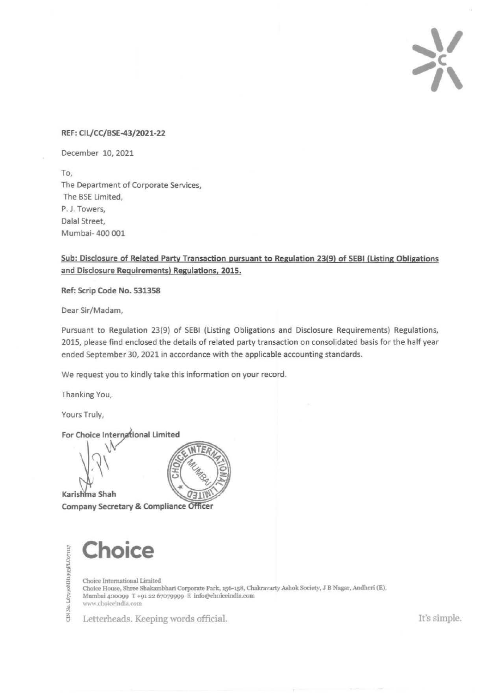

## REF: Cll/CC/BSE-43/2021-22

December 10, 2021

To, The Department of Corporate Services, The BSE Limited, P. J. Towers, Dalal Street, Mumbai- 400 001

Sub: Disclosure of Related Party Transaction pursuant to Regulation 23(9) of SEBI (listing Obligations and Disclosure Requirements) Regulations, 2015.

Ref: Scrip Code No. 531358

Dear Sir/Madam,

Pursuant to Regulation 23(9) of SEBI (Listing Obligations and Disclosure Requirements) Regulations, 2015, please find enclosed the details of related party transaction on consolidated basis for the half year ended September 30, 2021 in accordance with the applicable accounting standards.

We request you to kindly take this information on your record.

Thanking You,

Yours Truly,

No. L67190MH1993PLC071117

 $\Xi$ 

For Choice International Limited

Karishma Shah Company Secretary & Compliance Officer



**Choice** 

Choice International Limited Choice House, Shree Sbakambhari Corporate Park, 156-158, Chakravarty Ashok Society, J B Nagar, Andheri (E), Mumbai 400099 T +91 22 67079999 E info@choiceindia.com www.choiceindia.com

Letterheads. Keeping words official.  $\blacksquare$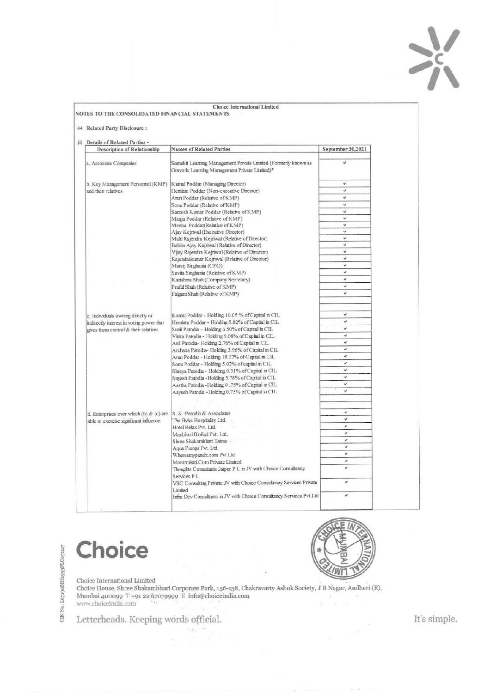

| (i) Details of Related Parties -          |                                                                                                                  |                                                                                       |
|-------------------------------------------|------------------------------------------------------------------------------------------------------------------|---------------------------------------------------------------------------------------|
| <b>Description of Relationship</b>        | <b>Names of Related Parties</b>                                                                                  | September 30,2021                                                                     |
| a. Associate Companies                    | Samekit Learning Management Private Limited (Formerly known as<br>Gravotix Learning Management Private Limited)* | ü                                                                                     |
| b. Key Management Personnel (KMP)         | Kamal Poddar (Managing Director)                                                                                 | ىن                                                                                    |
| and their relatives                       | Hemlata Poddar (Non-executive Director)                                                                          | ù                                                                                     |
|                                           | Arun Poddar (Relative of KMP)                                                                                    | ü                                                                                     |
|                                           | Sonu Poddar (Relative of KMP)                                                                                    | v.                                                                                    |
|                                           | Santosh Kumar Poddar (Relative of KMP)                                                                           | ü                                                                                     |
|                                           | Manju Poddar (Relative of KMP)                                                                                   | ت                                                                                     |
|                                           | Meenu Poddar(Relative of KMP)                                                                                    | ü                                                                                     |
|                                           | Ajay Kejriwal (Execuitve Director)                                                                               | $\checkmark$                                                                          |
|                                           | Malti Rajendra Kejriwal (Relative of Director)                                                                   |                                                                                       |
|                                           | Babita Ajay Kejriwal (Relative of Director)                                                                      |                                                                                       |
|                                           | Vijav Rajendra Kejriwal (Relative of Director)                                                                   |                                                                                       |
|                                           | Rajendrakumar Kejriwal (Relative of Director)                                                                    |                                                                                       |
|                                           | Manoj Singhania (CFO)                                                                                            |                                                                                       |
|                                           | Savita Singhania (Relative of KMP)                                                                               |                                                                                       |
|                                           | Karishma Shah (Company Secretary)                                                                                |                                                                                       |
|                                           | Prafil Shah (Relative of KMP)                                                                                    |                                                                                       |
|                                           | Falguni Shah (Relative of KMP)                                                                                   |                                                                                       |
| c. Individuals owning directly or         | Kamal Poddar - Holding 10.05 % of Capital in CIL.                                                                | v                                                                                     |
| indirectly interest in voting power that  | Hemlata Poddar - Holding 5.02% of Capital in CIL                                                                 | ú                                                                                     |
| gives them control & their relatives      | Sunil Patodia - Holding 6.50% of Capital in CIL.                                                                 | ر                                                                                     |
|                                           | Vinita Patodia - Holding 9.08% of Capital in CIL                                                                 | u                                                                                     |
|                                           | Anil Patodia-Holding 2.76% of Capital in CIL                                                                     |                                                                                       |
|                                           | Archana Patodia-Holding 3.96% of Capital in CIL                                                                  |                                                                                       |
|                                           | Arun Poddar - Holding 10.17% of Capital in CIL                                                                   | u                                                                                     |
|                                           | Sonu Poddar - Holding 5.02% of capital in CIL                                                                    |                                                                                       |
|                                           | Shreya Patodia - Holding 0.31% of Capital in CIL                                                                 |                                                                                       |
|                                           | Suyash Patodia - Holding 5.78% of Capital in CIL                                                                 |                                                                                       |
|                                           | Aastha Patodia - Holding 0 .75% of Capital in CIL.                                                               |                                                                                       |
|                                           | Aayush Patodia - Holding 0.75% of Capital in CIL.                                                                | u<br>ü<br>ú<br>۸<br>ü<br>u<br>v.<br>u<br>v<br>Ý.<br>٠<br>J.<br>¥.<br>ü<br>v<br>ü<br>v |
|                                           |                                                                                                                  |                                                                                       |
| d. Enterprises over which (b) & $(c)$ are | S. K. Patodia & Associates                                                                                       |                                                                                       |
| able to exercise significant influence    | The Byke Hospitality Ltd.                                                                                        | v.                                                                                    |
|                                           | Hotel Relax Pvt. Ltd.                                                                                            | v                                                                                     |
|                                           | Manbhari Biofuel Pvt. Ltd.                                                                                       | v                                                                                     |
|                                           | Shree Shakambhari Exins                                                                                          | v                                                                                     |
|                                           | Aqua Pumps Pvt. Ltd.                                                                                             | Ù                                                                                     |
|                                           | Wheresmypandit.com Pvt Ltd                                                                                       | v                                                                                     |
|                                           | Motormistri Com Private Limited                                                                                  | v                                                                                     |
|                                           | Thoughts Consultants Jaipur P L in JV with Choice Consultancy                                                    | Ý.                                                                                    |
|                                           | Services PL                                                                                                      |                                                                                       |
|                                           |                                                                                                                  | v                                                                                     |
|                                           | VSC Consulting Private JV with Choice Consultancy Services Private<br>Limited                                    |                                                                                       |

Choice

СІК No. L67190MH1993PLC071117



Choice International Limited Choice House, Shree Shakambhari Corporate Park, 156-158, Chakravarty Ashok Society, J B Nagar, Andheri (E), Mumbai 400099 T +91 22 67079999 E info@choiceindia.com<br>www.choiceindia.com

 $\mathcal{L}_{\mathcal{L}_{\mathcal{A}}}$ 

Letterheads. Keeping words official.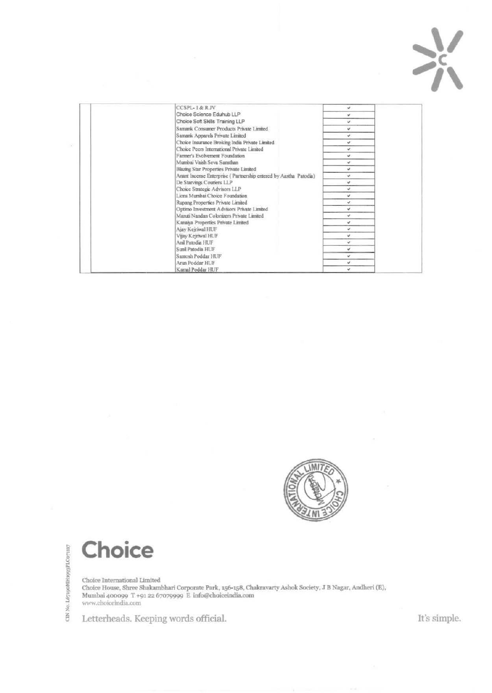

|                                          | CCSPL-1&RJV                                                                  | v            |
|------------------------------------------|------------------------------------------------------------------------------|--------------|
|                                          | Choice Science Eduhub LLP                                                    | v            |
|                                          | Choice Soft Skills Training LLP                                              | u            |
|                                          | Samank Consumer Products Private Limited                                     | ü            |
|                                          | Samank Apparels Private Limited                                              | v            |
|                                          | Choice Insurance Broking India Private Limited                               | v            |
|                                          | Choice Peers International Private Limited<br>Farmer's Evolvement Foundation | v            |
|                                          |                                                                              | v            |
|                                          | Mumbai Vaish Seva Sansthan                                                   | v            |
|                                          | Blazing Star Properties Private Limited                                      | ۷            |
|                                          | Anant Incense Enterprise (Partnership entered by Aastha Patodia)             | u            |
|                                          | De Starvings Couriers LLP                                                    | $\checkmark$ |
|                                          | Choice Strategic Advisors LLP                                                | v            |
|                                          | Lions Mumbai Choice Foundation                                               | v            |
|                                          | Rupang Properties Private Limited                                            | v            |
|                                          | Optimo Investment Advisors Private Limited                                   | $\checkmark$ |
| Maruti Nandan Colonizers Private Limited |                                                                              | u            |
|                                          | Kanaiya Properties Private Limited                                           | v            |
|                                          | Ajay Kejriwal HUF                                                            | v            |
|                                          | Vijay Kejriwal HUF                                                           | u            |
|                                          | Anil Patodia HUF                                                             | u            |
|                                          | Sunil Patodia HUF                                                            |              |
|                                          | Santosh Poddar HUF                                                           | v            |
|                                          | Arun Poddar HUF                                                              | ú.           |
|                                          | Kamal Poddar HUF                                                             | u            |



**Choice** 

Choice International Limited<br>Choice House, Shree Shakambhari Corporate Park, 156-158, Chakravarty Ashok Society, J B Nagar, Andheri (E), Mumbai 400099 T +91 22 67079999  $\mathbb E$ info@choiceindia.com www.choiceindia.com

Letterheads. Keeping words official.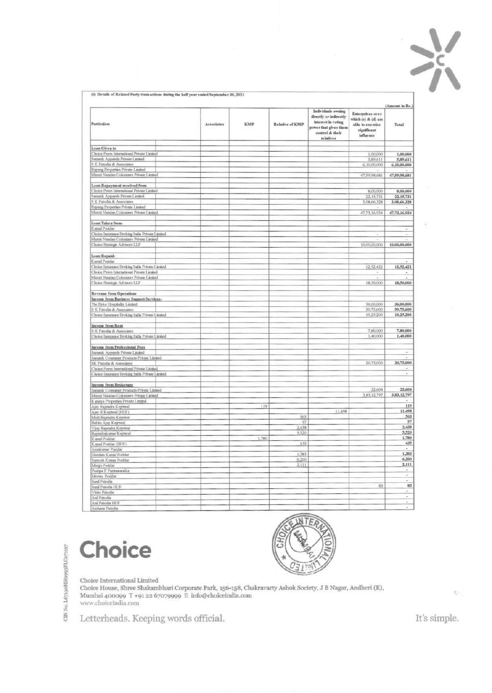

(i): Details of Related Party transactions during the half year ended September 30, 2021

|                                                |            |       |                 | Individuals owning                                                                                    |                                                                                         | (Amount in Rs.)          |
|------------------------------------------------|------------|-------|-----------------|-------------------------------------------------------------------------------------------------------|-----------------------------------------------------------------------------------------|--------------------------|
| Particulars                                    | Associates | КМР   | Relative of KMP | directly or indirectly<br>interest in voting<br>power that gives them<br>control & their<br>relatives | Enterprises over<br>which (c) & (d) are<br>able to exercise<br>significant<br>influence | Total                    |
|                                                |            |       |                 |                                                                                                       |                                                                                         |                          |
| Loan Given to                                  |            |       |                 |                                                                                                       |                                                                                         |                          |
| Choice Peers International Private Limited     |            |       |                 |                                                                                                       | 1,00,000                                                                                | 1,00,000                 |
| Samank Apparels Private Limited                |            |       |                 |                                                                                                       | 5,89,611                                                                                | 5,89,611                 |
| S K Patodia & Associates                       |            |       |                 |                                                                                                       | 6,10,00,000                                                                             | 6,10,00,000              |
| Rupang Properties Private Limited              |            |       |                 |                                                                                                       |                                                                                         |                          |
| Maruti Nandan Coloniaers Private Limited       |            |       |                 |                                                                                                       | 47,59,98,681                                                                            | 47,59,98,681             |
|                                                |            |       |                 |                                                                                                       |                                                                                         |                          |
| Loan Repayment received from                   |            |       |                 |                                                                                                       |                                                                                         |                          |
| Choice Peers International Private Limited     |            |       |                 |                                                                                                       | 8,00,000                                                                                | 8,00,000                 |
| Samank Apparels Private Limited                |            |       |                 |                                                                                                       | 22,15,731                                                                               | 22,15,731                |
| S K Patodia & Associates                       |            |       |                 |                                                                                                       | 3,08,66,328                                                                             | 3,08,66,328              |
| Rupang Properties Private Limited              |            |       |                 |                                                                                                       |                                                                                         |                          |
| Maruti Nandan Colonizers Private Limited       |            |       |                 |                                                                                                       | 47,73,16,934                                                                            | 47,73,16,934             |
|                                                |            |       |                 |                                                                                                       |                                                                                         |                          |
| Loan Taken from-                               |            |       |                 |                                                                                                       |                                                                                         |                          |
| Kamal Poddar                                   |            |       |                 |                                                                                                       |                                                                                         | ×.                       |
| Choice Insurance Broking India Private Limited |            |       |                 |                                                                                                       | ä                                                                                       | $\overline{\phantom{a}}$ |
| Mariati Nandan Colonizers Private Limited      |            |       |                 |                                                                                                       |                                                                                         |                          |
| Choice Strategic Advisors LLP                  |            |       |                 |                                                                                                       | 10,00,00,000                                                                            | 10,00,00,000             |
|                                                |            |       |                 |                                                                                                       |                                                                                         |                          |
| Loan Repaid-                                   |            |       |                 |                                                                                                       |                                                                                         |                          |
| Kamal Poddar                                   |            |       |                 |                                                                                                       |                                                                                         |                          |
| Choice Insurance Broking India Private Limited |            |       |                 |                                                                                                       | 12.52,422                                                                               | 12,52,422                |
| Choice Poers International Private Limited     |            |       |                 |                                                                                                       |                                                                                         |                          |
|                                                |            |       |                 |                                                                                                       | ÷,                                                                                      | $\overline{\phantom{a}}$ |
| Maruti Nandan Colonizers Private Limited       |            |       |                 |                                                                                                       |                                                                                         | 18,50,000                |
| Choice Strategic Advisors LLP                  |            |       |                 |                                                                                                       | 18,50,000                                                                               |                          |
|                                                |            |       |                 |                                                                                                       |                                                                                         |                          |
| Revenue from Operations                        |            |       |                 |                                                                                                       |                                                                                         |                          |
| Income from Business Support Services-         |            |       |                 |                                                                                                       |                                                                                         |                          |
| The Byke Hospitality Limited                   |            |       |                 |                                                                                                       | 36,00,000                                                                               | 36,00,000                |
| S K Patodia & Associates                       |            |       |                 |                                                                                                       | 50,75,600                                                                               | 50,75,600                |
| Chosoe Insurance Broking India Private Limited |            |       |                 |                                                                                                       | 10,25,200                                                                               | 10,25,200                |
|                                                |            |       |                 |                                                                                                       |                                                                                         |                          |
| <b>Income from Rent</b>                        |            |       |                 |                                                                                                       |                                                                                         |                          |
| S.K. Patodia & Associates                      |            |       |                 |                                                                                                       | 7,80,000                                                                                | 7,80,000                 |
| Choice Insurance Broking India Private Limited |            |       |                 |                                                                                                       | 1,40,000                                                                                | 1,40,000                 |
|                                                |            |       |                 |                                                                                                       |                                                                                         |                          |
| Income from Professional Fees                  |            |       |                 |                                                                                                       |                                                                                         |                          |
| Samunk Apparels Private Limited                |            |       |                 |                                                                                                       |                                                                                         | ×                        |
| Samank Consumer Products Private Limited       |            |       |                 |                                                                                                       |                                                                                         |                          |
| SK Patodia & Associates                        |            |       |                 |                                                                                                       | 20,75,000                                                                               | 20,75,000                |
| Thoice Poers International Private Limited     |            |       |                 |                                                                                                       |                                                                                         |                          |
| Choice Insurance Broking India Private Lanited |            |       |                 |                                                                                                       |                                                                                         | ÷                        |
|                                                |            |       |                 |                                                                                                       |                                                                                         |                          |
| Income from Brokerage                          |            |       |                 |                                                                                                       |                                                                                         |                          |
| Samank Consumer Products Private Linuted       |            |       |                 |                                                                                                       | 22,604                                                                                  | 22,604                   |
| Mansti Nandan Colonizees Private Limited       |            |       |                 |                                                                                                       | 3,83,12,797                                                                             | 3,83,12,797              |
| Kanaiya Properties Private Limited             |            |       |                 |                                                                                                       |                                                                                         | ۰                        |
| Ajay Rajendra Kejriwal                         |            | 119   |                 |                                                                                                       |                                                                                         | 119                      |
| Ajny R Kejriwal (HUF)                          |            |       |                 | 11,498                                                                                                |                                                                                         | 11,498                   |
|                                                |            |       | 563             |                                                                                                       |                                                                                         | 563                      |
| Malti Rajendra Kejriwal                        |            |       | 97              |                                                                                                       |                                                                                         | 97                       |
| Babita Ajay Kejriwal                           |            |       | 2,438           |                                                                                                       |                                                                                         | 2,438                    |
| Visy Rajendra Kejriwal                         |            |       | 5,520           |                                                                                                       |                                                                                         | 5,520                    |
| Rajendrakumar Kejriwal                         |            | 1,780 |                 |                                                                                                       |                                                                                         | 1,780                    |
| Kamal Poddar                                   |            |       | 435             |                                                                                                       |                                                                                         | 435                      |
| Kamal Poddar (HUF)                             |            |       |                 |                                                                                                       |                                                                                         |                          |
| Artınktımır Poddar                             |            |       | 1,383           |                                                                                                       |                                                                                         | 1,383                    |
| Hemista Kamal Poddar                           |            |       |                 |                                                                                                       |                                                                                         | 6,200                    |
| Santosh Kumar Poddar                           |            |       | 6,200           |                                                                                                       |                                                                                         | 2,111                    |
| Manju Poddar                                   |            |       | 2,111           |                                                                                                       |                                                                                         |                          |
| Pushpa P Parmanandka                           |            |       |                 |                                                                                                       |                                                                                         | $\bullet$<br>z,          |
| Moenu Poddar                                   |            |       |                 |                                                                                                       |                                                                                         | z                        |
| Suni Patodia                                   |            |       |                 |                                                                                                       |                                                                                         |                          |
| Sunil Patodin HUF                              |            |       |                 |                                                                                                       | 85                                                                                      | 85                       |
| Vinita Patodia                                 |            |       |                 |                                                                                                       |                                                                                         | z                        |
| Anil Patodis                                   |            |       |                 |                                                                                                       |                                                                                         | ä,                       |
| And Patodin HUF                                |            |       |                 |                                                                                                       |                                                                                         | ÷                        |
|                                                |            |       |                 |                                                                                                       |                                                                                         |                          |

CIN No. L67190MH1993PLC071117

Choice



Choice International Limited<br>Choice House, Shree Shakambhari Corporate Park, 156-158, Chakravarty Ashok Society, J B Nagar, Andheri (E), Mumbai 400099  $\,$ T $+$ 91 22 67079999 $\,$  E $\,$ info@choiceindia.com www.choiceindia.com

Letterheads. Keeping words official.

It's simple.

 $\mathcal{H}_{\mathcal{C}^{\prime}}$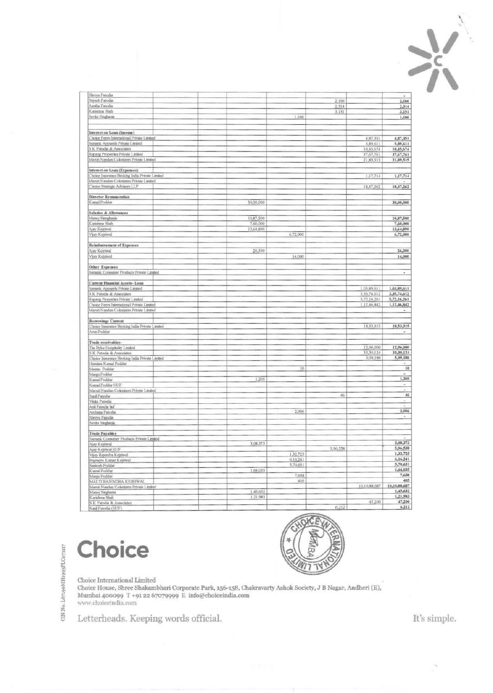

| Shreya Patodia                                 |           |          |          |              |                          |
|------------------------------------------------|-----------|----------|----------|--------------|--------------------------|
| Suyash Patodia                                 |           |          | 2,166    |              | 2,166                    |
|                                                |           |          |          |              |                          |
| Aastha Patodia                                 |           |          | 2,314    |              | 2,314                    |
| Karishma Shah                                  |           |          | 3,151    |              | 3,151                    |
| Savka Singhama                                 |           | 1,166    |          |              | 1,166                    |
|                                                |           |          |          |              |                          |
|                                                |           |          |          |              |                          |
| Interest on Loan (Income)                      |           |          |          |              |                          |
|                                                |           |          |          |              |                          |
| Choice Peers International Private Limited     |           |          |          | 4,87,351     | 4,87,351                 |
| Samank Apparels Private Limited                |           |          |          | 5,89,611     | 5,89,611                 |
| S K Patodia & Associates                       |           |          |          | 10,45,674    | 10,45,674                |
| Rupang Properties Private Limited              |           |          |          | 37,67,761    | 37,67,761                |
| Maruti Nandan Colonizers Private Limited       |           |          |          | 21,89,515    | 21,89,515                |
|                                                |           |          |          |              |                          |
|                                                |           |          |          |              |                          |
| Interest on Loan (Expenses)                    |           |          |          |              |                          |
| Choice Insurance Broking India Private Limited |           |          |          | 1,17,714     | 1,17,714                 |
| Maruti Nandan Colonizers Private Limited       |           |          |          |              |                          |
| Choice Strategic Advisors LLP                  |           |          |          | 18,47,262    | 18,47,262                |
|                                                |           |          |          |              |                          |
| Director Remaneration                          |           |          |          |              |                          |
|                                                |           |          |          |              |                          |
| Kamal Poddar                                   | 30,00,000 |          |          |              | 30,00,000                |
|                                                |           |          |          |              |                          |
| Salaries & Allowances                          |           |          |          |              |                          |
| Manoj Simghama                                 | 10,87,500 |          |          |              | 10,87,500                |
| Karaéma Shah                                   | 7,60,000  |          |          |              | 7,60,000                 |
|                                                | 13,64,890 |          |          |              | 13,64,890                |
| Ajay Kejriwal                                  |           |          |          |              |                          |
| Vijay Kejriwal                                 |           | 6,72,000 |          |              | 6,72,000                 |
|                                                |           |          |          |              |                          |
| Reimbursement of Expenses                      |           |          |          |              |                          |
| Ajay Kejriwal                                  | 26,300    |          |          |              | 26,300                   |
|                                                |           |          |          |              |                          |
| Vijay Kejriwal                                 |           | 14,000   |          |              | 14,000                   |
|                                                |           |          |          |              |                          |
| Other Expenses                                 |           |          |          |              |                          |
| Samank Constaner Products Private Limited      |           |          |          |              | $\overline{\phantom{a}}$ |
|                                                |           |          |          |              |                          |
| Current Financial Assets- Loan                 |           |          |          |              |                          |
|                                                |           |          |          |              |                          |
| Samank Apparels Private Limited                |           |          |          | 1,03,89,611  | 1,03,89,611              |
| S K Patodia & Associates                       |           |          |          | 3,35,74,612  | 3,35,74,612              |
| Rupang Properties Private Limited              |           |          |          | 5,72,16,261  | 5,72,16,261              |
| Choice Peers International Private Limited     |           |          |          | 1,12,46,842  | 1,12,46,842              |
| Maruti Nandan Colonizers Private Limited       |           |          |          |              |                          |
|                                                |           |          |          |              |                          |
|                                                |           |          |          |              |                          |
| Borrowings Current                             |           |          |          |              |                          |
| Choice Insurance Broking India Private Limited |           |          |          | 18,53,315    | 18,53,315                |
| Anın Poddar                                    |           |          |          |              |                          |
|                                                |           |          |          |              |                          |
|                                                |           |          |          |              |                          |
| Trade receivables-                             |           |          |          |              |                          |
| The Byke Hospitality Limited                   |           |          |          | 12,96,000    | 12,96,000                |
| S K Patodia & Associates                       |           |          |          | 33,30,124    | 33,30,124                |
| Choice Insurance Broking India Private Limited |           |          |          | 5,09,180     | 5,09,180                 |
| Hemlata Kamal Poddar                           |           |          |          |              |                          |
|                                                |           | 10       |          |              | $_{\rm H}$               |
| Meenu Poddar                                   |           |          |          |              |                          |
| Margu Poddar                                   |           |          |          |              |                          |
| Kumai Poddar                                   | 1,205     |          |          |              | 1,205                    |
| Kamal Poddar HUF                               |           |          |          |              | $\sim$                   |
| Maruti Nandan Colonizurs Private Limited       |           |          |          |              | $\overline{a}$           |
| Suni Patodis                                   |           |          | 46       |              | 46                       |
|                                                |           |          |          |              |                          |
| Vinta Patodia                                  |           |          |          |              | $\sim$                   |
| Anil Patodia huf                               |           |          |          |              | ÷                        |
| Archena Patodia                                |           | 2,006    |          |              | 2,006                    |
| Shreya Patodis                                 |           |          |          |              | ÷                        |
|                                                |           |          |          |              |                          |
| Savža Singhania                                |           |          |          |              |                          |
|                                                |           |          |          |              |                          |
| <b>Trade Payables</b>                          |           |          |          |              |                          |
| Samank Consumer Products Private Limited       |           |          |          |              |                          |
| Ajay Kejriwal.                                 | 3,08,373  |          |          |              | 3,08,373                 |
| Ajay Kejriwal HUF                              |           |          | 5,96,538 |              | 5,96,538                 |
|                                                |           | 1,32,725 |          |              | 1,32,725                 |
| Vijay Rajendra Kejriwal                        |           |          |          |              |                          |
| Rajendra Kumar Kejriwal                        |           | 6,16,241 |          |              | 6,16,241                 |
| Santosh Poddar                                 |           | 5,70,631 |          |              | 5,70,631                 |
| Kamal Poddar                                   | 1,64,035  |          |          |              | 1,64,035                 |
| Manju Poddar                                   |           | 7,638    |          |              | 7,638                    |
|                                                |           | 405      |          |              | 405                      |
| MALTI RAJENDRA KEJRIWAL                        |           |          |          |              | 10,10,88,687             |
| Maruti Nandan Colonizura Private Limited       |           |          |          | 10,10,88,687 |                          |
| Manoj Singhania                                | 1,45,632  |          |          |              | 1,45,632                 |
| Karıshnu Shah                                  | 1,21,983  |          |          |              | 1,21,983                 |
| S K Patodia & Associates                       |           |          |          | 47,200       | 47,200                   |
|                                                |           |          | 6,212    |              | 6,212                    |
| Suni Patodia (HUF)                             |           |          |          |              |                          |

Choice



 $\label{thm:1} \begin{minipage}[t]{0.9\linewidth} \textbf{Choice International Limited} \\ \textbf{Choice House, Shree Shakambhari Corporate Park, 156-158, Chakravarty Ashok Society, J B Nagar, Andheri (E),} \end{minipage}$ Mumbai 400099  $\mathbb{T}$ +91 22 67079999  $\overset{\circ}{\mathbb{E}}$ info@choiceindia.com www.choiceindia.com

Letterheads. Keeping words official.